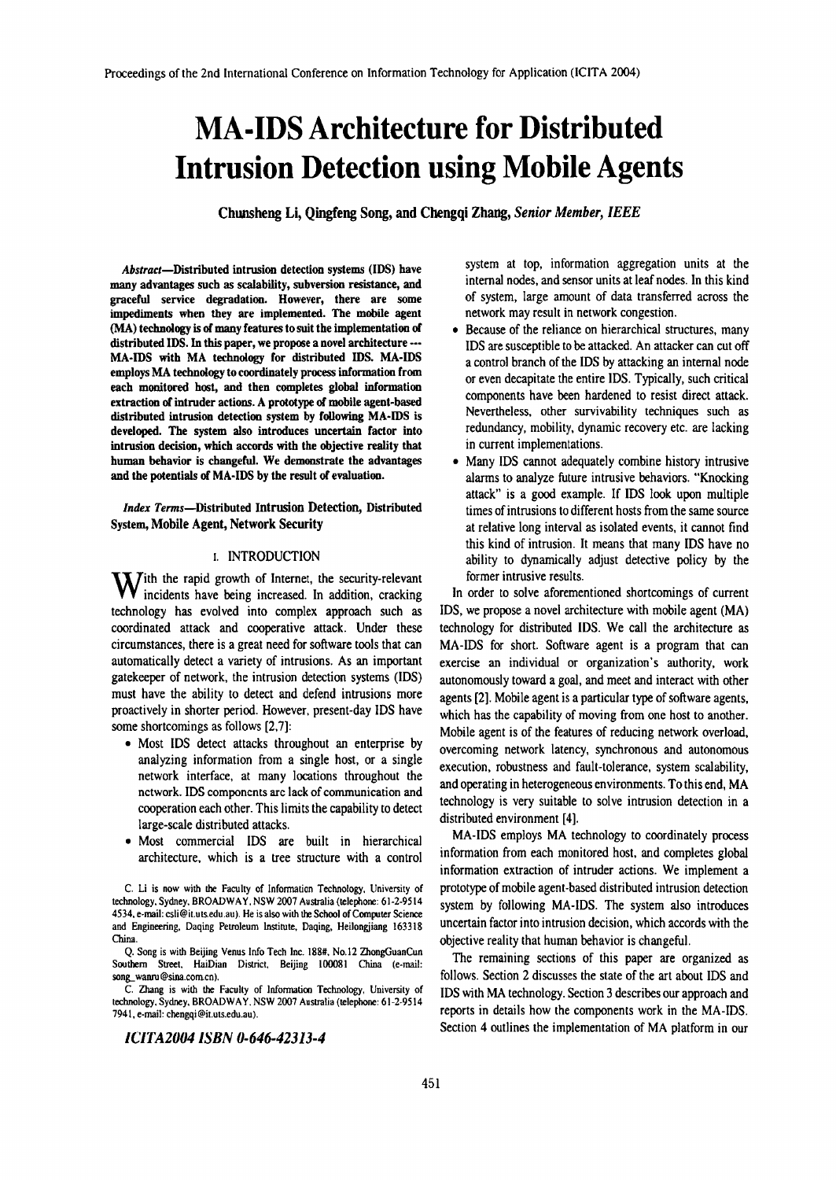# **MA-IDS Architecture for Distributed Intrusion Detection using Mobile Agents**

Chunsheng Li, Qingfeng Song, and Chengqi Zhang, *Senior Member, IEEE*

*Abstract-Distributed* intrusion detection systems (IDS) have many advantages such as scalability, subversion resistance, and graceful service degradation. However, there are some impediments when they are implemented. The mobile agent (MA) technology is of many features to suit the implementation of distributed IDS. In this paper, we propose a novel architecture \_•• MA·IDS with MA technology for distributed IDS. MA-IDS employs MA technology to coordinately process information from each monitored host, and then completes global information extraction of intruder actions. A prototype of mobile agent-based distributed intrusion detection system by following MA·IDS is developed. The system also introduces uncertain factor into intrusion decision, which accords with the objective reality that human behavior is changeful. We demonstrate the advantages and the potentials of MA·IDS by the result of evaluation.

*Index* Terms-Distributed Intrusion Detection, Distributed System, Mobile Agent, Network Security

### I. INTRODUCTION

With the rapid growth of Internet, the security-relevant incidents have being increased. In addition, cracking technology has evolved into complex approach such as coordinated attack and cooperative attack. Under these circumstances, there is a great need for software tools that can automatically detect a variety of intrusions. As an important gatekeeper of network, the intrusion detection systems (IDS) must have the ability to detect and defend intrusions more proactively in shorter period. However. present-day IDS have some shortcomings as follows [2,7]:

- Most IDS detect attacks throughout an enterprise by analyzing information from a single host, or a single network interface, at many locations throughout the network. IDS components arc lack of communication and cooperation each other. This limits the capability to detect large-scale distributed attacks.
- Most commercial IDS are built in hierarchical architecture, which is a tree structure with a control

C. Li is now with the Faculty of Information Technology. University of technology. Sydney. BROADWA Y. NSW 2007 Australia (telephone: 61-2·9514 4534. e-mail: csli@it.uts.edu.au). He is also with the School of Computer Science and Engineering. Daqing Petroleum Institute. Daqing, Heilongjiang 163318 China.

Q. Song is with Beijing Venus Info Tech Inc. 188#. No.12 ZhongGuanCun Southern Street. HaiDian District. Beijing 100081 China (e-mail: song, wanru@sina.com.cn).

C. Zhang is with the Faculty of Informatioo Technology. University of technology. Sydney. BROADWAY. NSW 2007 Australia (telephone: 61-2-9514 7941. e-mail: chengqi@il.uts.edu.au).

*lCITA20041SBN 0-646-42313-4*

system at top, information aggregation units at the internal nodes, and sensor units at leaf nodes. In this kind of system, large amount of data transferred across the network may result in network congestion.

- Because of the reliance on hierarchical structures, many IDS are susceptible to be attacked. An attacker can cut off a control branch of the IDS by attacking an internal node or even decapitate the entire IDS. Typically, such critical components have been hardened to resist direct attack. Nevertheless, other survivability techniques such as redundancy, mobility, dynamic recovery etc. are lacking in current implementations.
- Many IDS cannot adequately combine history intrusive alarms to analyze future intrusive behaviors. "Knocking attack" is a good example. If IDS look upon multiple times of intrusions to different hosts from the same source at relative long interval as isolated events, it cannot find this kind of intrusion. It means that many IDS have no ability to dynamically adjust detective policy by the former intrusive results.

In order to solve aforementioned shortcomings of current IDS, we propose a novel architecture with mobile agent (MA) technology for distributed IDS. We call the architecture as MA-IDS for short. Software agent is a program that can exercise an individual or organization's authority, work autonomously toward a goal, and meet and interact with other agents [2]. Mobile agent is a particular type of software agents, which has the capability of moving from one host to another. Mobile agent is of the features of reducing network overload, overcoming network latency, synchronous and autonomous execution, robustness and fault-tolerance, system scalability, and operating in heterogeneous environments. To this end, MA technology is very suitable to solve intrusion detection in a distributed environment [4].

MA-IDS employs MA technology to coordinately process information from each monitored host. and completes global information extraction of intruder actions. We implement a prototype of mobile agent-based distributed intrusion detection system by following MA-IDS. The system also introduces uncertain factor into intrusion decision, which accords with the objective reality that human behavior is changeful.

The remaining sections of this paper are organized as follows. Section 2 discusses the state of the art about IDS and IDS with MA technology. Section 3 describes our approach and reports in details how the components work in the MA-IDS. Section 4 outlines the implementation of MA platform in our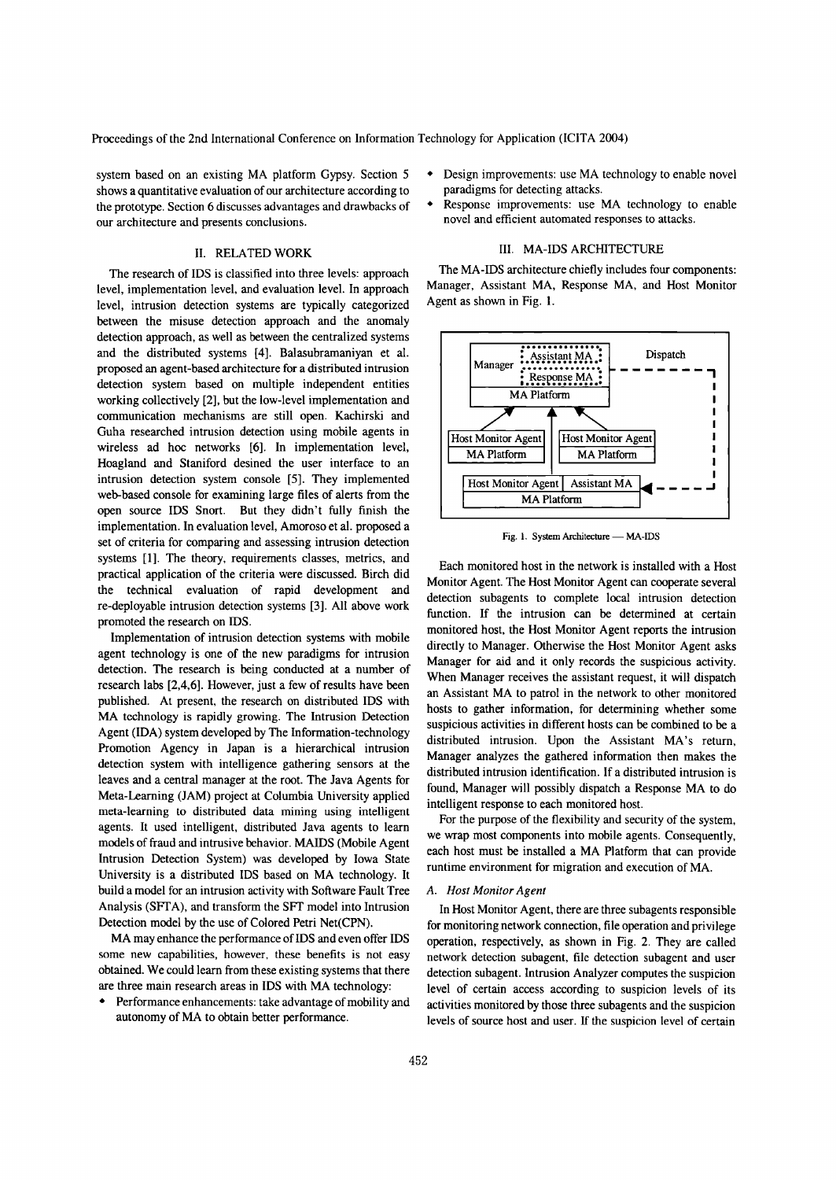system based on an existing MA platform Gypsy. Section 5 shows a quantitative evaluation of our architecture according to the prototype. Section 6 discusses advantages and drawbacks of our architecture and presents conclusions.

### II. RELATED WORK

The research of IDS is classified into three levels: approach level, implementation level, and evaluation level. In approach level, intrusion detection systems are typically categorized between the misuse detection approach and the anomaly detection approach, as well as between the centralized systems and the distributed systems [4]. Balasubramaniyan et al. proposed an agent-based architecture for a distributed intrusion detection system based on multiple independent entities working collectively [2], but the low-level implementation and communication mechanisms are still open. Kachirski and Guha researched intrusion detection using mobile agents in wireless ad hoc networks [6]. In implementation level, Hoagland and Staniford desined the user interface to an intrusion detection system console [5]. They implemented web-based console for examining large files of alerts from the open source IDS Snort. But they didn't fully finish the implementation. In evaluation level, Amoroso et al. proposed a set of criteria for comparing and assessing intrusion detection systems [I]. The theory, requirements classes, metrics, and practical application of the criteria were discussed. Birch did the technical evaluation of rapid development and re-deployable intrusion detection systems [3]. All above work promoted the research on IDS.

Implementation of intrusion detection systems with mobile agent technology is one of the new paradigms for intrusion detection. The research is being conducted at a number of research labs [2,4,6]. However, just a few of results have been published. At present, the research on distributed IDS with MA technology is rapidly growing. The Intrusion Detection Agent (IDA) system developed by The Information-technology Promotion Agency in Japan is a hierarchical intrusion detection system with intelligence gathering sensors at the leaves and a central manager at the root. The Java Agents for Meta-Learning (JAM) project at Columbia University applied meta-learning to distributed data mining using intelligent agents. It used intelligent, distributed Java agents to learn models of fraud and intrusive behavior. MAIDS (Mobile Agent Intrusion Detection System) was developed by Iowa State University is a distributed IDS based on MA technology. It build a model for an intrusion activity with Software Fault Tree Analysis (SFT A), and transform the SFT model into Intrusion Detection model by the use of Colored Petri Net(CPN).

MA may enhance the performance of IDS and even offer IDS some new capabilities, however, these benefits is not easy obtained. We could learn from these existing systems that there are three main research areas in IDS with MA technology:

• Performance enhancements: take advantage of mobility and autonomy of MA to obtain better performance.

- Design improvements: use MA technology to enable novel paradigms for detecting attacks.
- Response improvements: use MA technology to enable novel and efficient automated responses to attacks.

### III. MA-IDS ARCHITECTURE

The MA-IDS architecture chiefly includes four components: Manager, Assistant MA, Response MA, and Host Monitor Agent as shown in Fig. 1.



Fig. 1. System Architecture - MA-IDS

Each monitored host in the network is installed with a Host Monitor Agent. The Host Monitor Agent can cooperate several detection subagents to complete local intrusion detection function. If the intrusion can be determined at certain monitored host, the Host Monitor Agent reports the intrusion directly to Manager. Otherwise the Host Monitor Agent asks Manager for aid and it only records the suspicious activity. When Manager receives the assistant request, it will dispatch an Assistant MA to patrol in the network to other monitored hosts to gather information, for determining whether some suspicious activities in different hosts can be combined to be a distributed intrusion. Upon the Assistant MA's return, Manager analyzes the gathered information then makes the distributed intrusion identification. If a distributed intrusion is found, Manager will possibly dispatch a Response MA to do intelligent response to each monitored host.

For the purpose of the flexibility and security of the system, we wrap most components into mobile agents. Consequently, each host must be installed a MA Platform that can provide runtime environment for migration and execution of MA.

### *A. Host Monitor Agent*

In Host Monitor Agent, there are three subagents responsible for monitoring network connection, file operation and privilege operation, respectively, as shown in Fig. 2. They are called network detection subagent, file detection subagent and user detection subagent. Intrusion Analyzer computes the suspicion level of certain access according to suspicion levels of its activities monitored by those three subagents and the suspicion levels of source host and user. If the suspicion level of certain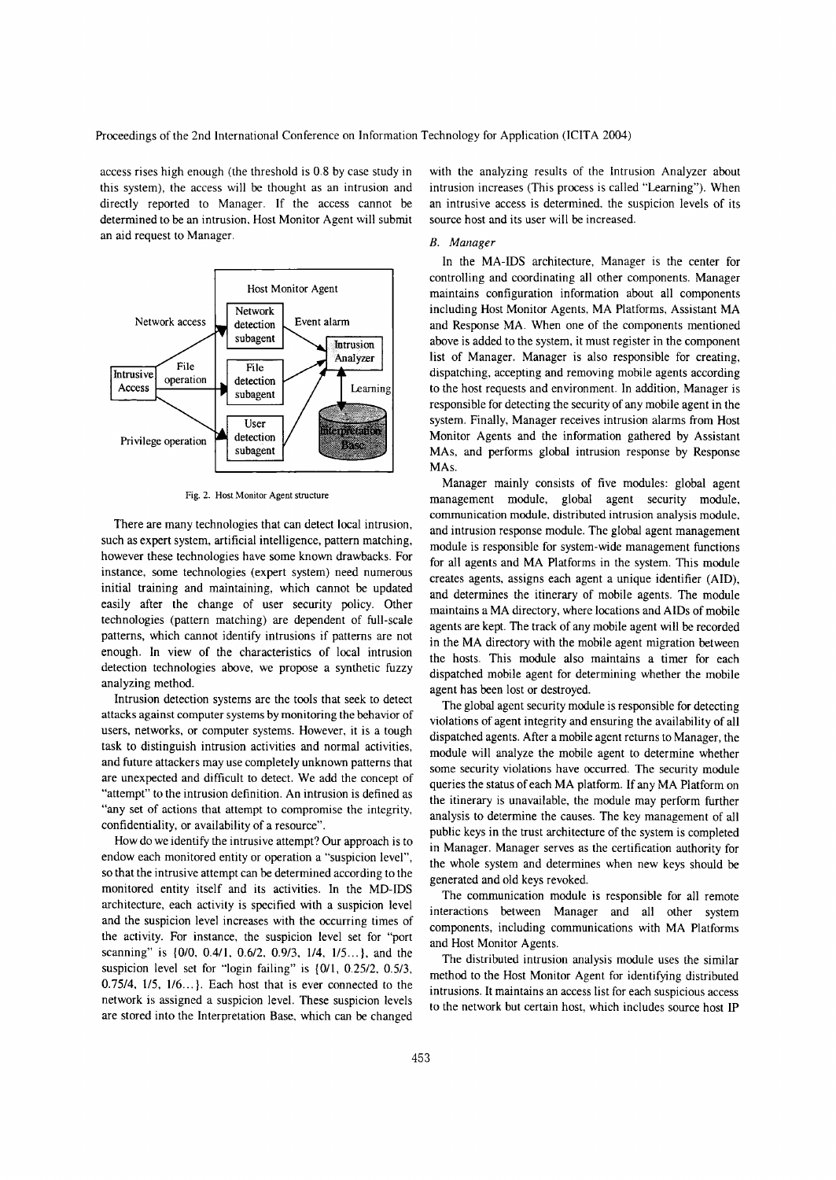Proceedings of the 2nd International Conference on Information Technology for Application (ICITA 2004)

access rises high enough (the threshold is 0.8 by case study in this system), the access will be thought as an intrusion and directly reported to Manager. If the access cannot be determined to be an intrusion. Host Monitor Agent will submit an aid request to Manager.



Fig. 2. Host Monitor Agent structure

There are many technologies that can detect local intrusion, such as expert system. artificial intelligence, pattern matching, however these technologies have some known drawbacks. For instance, some technologies (expert system) need numerous initial training and maintaining, which cannot be updated easily after the change of user security policy. Other technologies (pattern matching) are dependent of full-scale patterns, which cannot identify intrusions if patterns are not enough. In view of the characteristics of local intrusion detection technologies above, we propose a synthetic fuzzy analyzing method.

Intrusion detection systems are the tools that seek to detect attacks against computer systems by monitoring the behavior of users, networks, or computer systems. However, it is a tough task to distinguish intrusion activities and normal activities, and future attackers may use completely unknown patterns that are unexpected and difficult to detect. We add the concept of "attempt" to the intrusion definition. An intrusion is defined as "any set of actions that attempt to compromise the integrity, confidentiality, or availability of a resource".

How do we identify the intrusive attempt? Our approach is to endow each monitored entity or operation a "suspicion level", so that the intrusive attempt can be determined according to the monitored entity itself and its activities. In the MD-IDS architecture, each activity is specified with a suspicion level and the suspicion level increases with the occurring times of the activity. For instance, the suspicion level set for "port scanning" is {0/0, 0.4/1, 0.6/2, 0.9/3, 1/4, 1/5...}, and the suspicion level set for "login failing" is {O/I, 0.25/2. 0.5/3,  $0.75/4$ ,  $1/5$ ,  $1/6$ ...}. Each host that is ever connected to the network is assigned a suspicion level. These suspicion levels are stored into the Interpretation Base. which can be changed

with the analyzing results of the Intrusion Analyzer about intrusion increases (This process is called "Learning"). When an intrusive access is determined. the suspicion levels of its source host and its user will be increased.

### *B. Manager*

In the MA-IDS architecture, Manager is the center for controlling and coordinating all other components. Manager maintains configuration information about all components including Host Monitor Agents, MA Platforms, Assistant MA and Response MA. When one of the components mentioned above is added to the system, it must register in the component list of Manager. Manager is also responsible for creating, dispatching, accepting and removing mobile agents according to the host requests and environment. In addition, Manager is responsible for detecting the security of any mobile agent in the system. Finally, Manager receives intrusion alarms from Host Monitor Agents and the information gathered by Assistant MAs, and performs global intrusion response by Response MAs.

Manager mainly consists of five modules: global agent management module, global agent security module, communication module, distributed intrusion analysis module. and intrusion response module. The global agent management module is responsible for system-wide management functions for all agents and MA Platforms in the system. This module creates agents, assigns each agent a unique identifier (AID), and determines the itinerary of mobile agents. The module maintains a MA directory, where locations and AIDs of mobile agents are kept. The track of any mobile agent will be recorded in the MA directory with the mobile agent migration between the hosts. This module also maintains a timer for each dispatched mobile agent for determining whether the mobile agent has been lost or destroyed.

The global agent security module is responsible for detecting violations of agent integrity and ensuring the availability of all dispatched agents. After a mobile agent returns to Manager, the module will analyze the mobile agent to determine whether some security violations have occurred. The security module queries the status of each MA platform. If any MA Platform on the itinerary is unavailable, the module may perform further analysis to determine the causes. The key management of all public keys in the trust architecture of the system is completed in Manager. Manager serves as the certification authority for the whole system and determines when new keys should be generated and old keys revoked.

The communication module is responsible for all remote interactions between Manager and all other system components, including communications with MA Platforms and Host Monitor Agents.

The distributed intrusion analysis module uses the similar method to the Host Monitor Agent for identifying distributed intrusions. It maintains an access list for each suspicious access to the network but certain host. which includes source host IP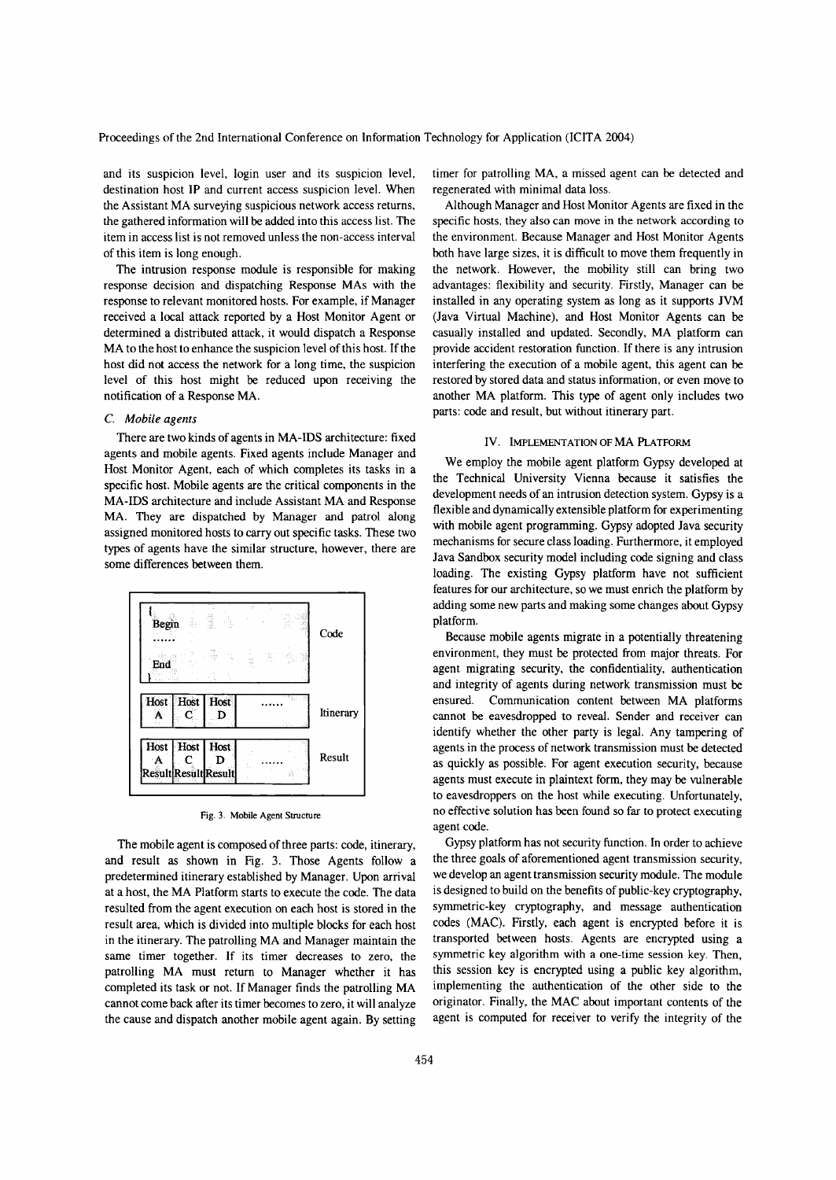and its suspicion level, login user and its suspicion level, destination host **IP** and current access suspicion level. When the Assistant MA surveying suspicious network access returns, the gathered information will be added into this access list. The item in access list is not removed unless the non-access interval of this item is long enough.

The intrusion response module is responsible for making response decision and dispatching Response MAs with the response to relevant monitored hosts. For example, if Manager received a local attack reported by a Host Monitor Agent or determined a distributed attack, it would dispatch a Response MA to the host to enhance the suspicion level of this host. If the host did not access the network for a long time, the suspicion level of this host might be reduced upon receiving the notification of a Response MA.

### C. *Mobile agents*

There are two kinds of agents in MA-IDS architecture: fixed agents and mobile agents. Fixed agents include Manager and Host Monitor Agent, each of which completes its tasks in a specific host. Mobile agents are the critical components in the MA-IDS architecture and include Assistant MA and Response MA. They are dispatched by Manager and patrol along assigned monitored hosts to carry out specific tasks. These two types of agents have the similar structure, however, there are some differences between them.



Fig. 3. Mobile Agent Structure

The mobile agent is composed of three parts: code, itinerary, and result as shown in Fig. 3. Those Agents follow a predetermined itinerary established by Manager. Upon arrival at a host, the MA Platform starts to execute the code. The data resulted from the agent execution on each host is stored in the result area, which is divided into multiple blocks for each host in the itinerary. The patrolling MA and Manager maintain the same timer together. If its timer decreases to zero, the patrolling MA must return to Manager whether it has completed its task or not. If Manager finds the patrolling MA cannot come back after its timer becomes to zero, it will analyze the cause and dispatch another mobile agent again. By setting

timer for patrolling MA, a missed agent can be detected and regenerated with minimal data loss.

Although Manager and Host Monitor Agents are fixed in the specific hosts. they also can move in the network according to the environment. Because Manager and Host Monitor Agents both have large sizes, it is difficult to move them frequently in the network. However, the mobility still can bring two advantages: flexibility and security. Firstly, Manager can be installed in any operating system as long as it supports JVM (Java Virtual Machine), and Host Monitor Agents can be casually installed and updated. Secondly, MA platform can provide accident restoration function. If there is any intrusion interfering the execution of a mobile agent, this agent can be restored by stored data and status information, or even move to another MA platform. This type of agent only includes two parts: code and result, but without itinerary part.

### IV. IMPLEMENTATION OF MA PLATFORM

We employ the mobile agent platform Gypsy developed at the Technical University Vienna because it satisfies the development needs of an intrusion detection system. Gypsy is a flexible and dynamically extensible platform for experimenting with mobile agent programming. Gypsy adopted Java security mechanisms for secure class loading. Furthermore, it employed Java Sandbox security model including code signing and class loading. The existing Gypsy platform have not sufficient features for our architecture, so we must enrich the platform by adding some new parts and making some changes about Gypsy platform.

Because mobile agents migrate in a potentially threatening environment, they must be protected from major threats. For agent migrating security, the confidentiality, authentication and integrity of agents during network transmission must be ensured. Communication content between MA platforms cannot be eavesdropped to reveal. Sender and receiver can identify whether the other party is legal. Any tampering of agents in the process of network transmission must be detected as quickly as possible. For agent execution security, because agents must execute in plaintext form, they may be vulnerable to eavesdroppers on the host while executing. Unfortunately, no effective solution has been found so far to protect executing agent code.

Gypsy platform has not security function. In order to achieve the three goals of aforementioned agent transmission security, we develop an agent transmission security module. The module is designed to build on the benefits of public-key cryptography, symmetric-key cryptography, and message authentication codes (MAC). Firstly, each agent is encrypted before it is transported between hosts. Agents are encrypted using a symmetric key algorithm with a one-time session key. Then, this session key is encrypted using a public key algorithm, implementing the authentication of the other side to the originator. Finally, the MAC about important contents of the agent is computed for receiver to verify the integrity of the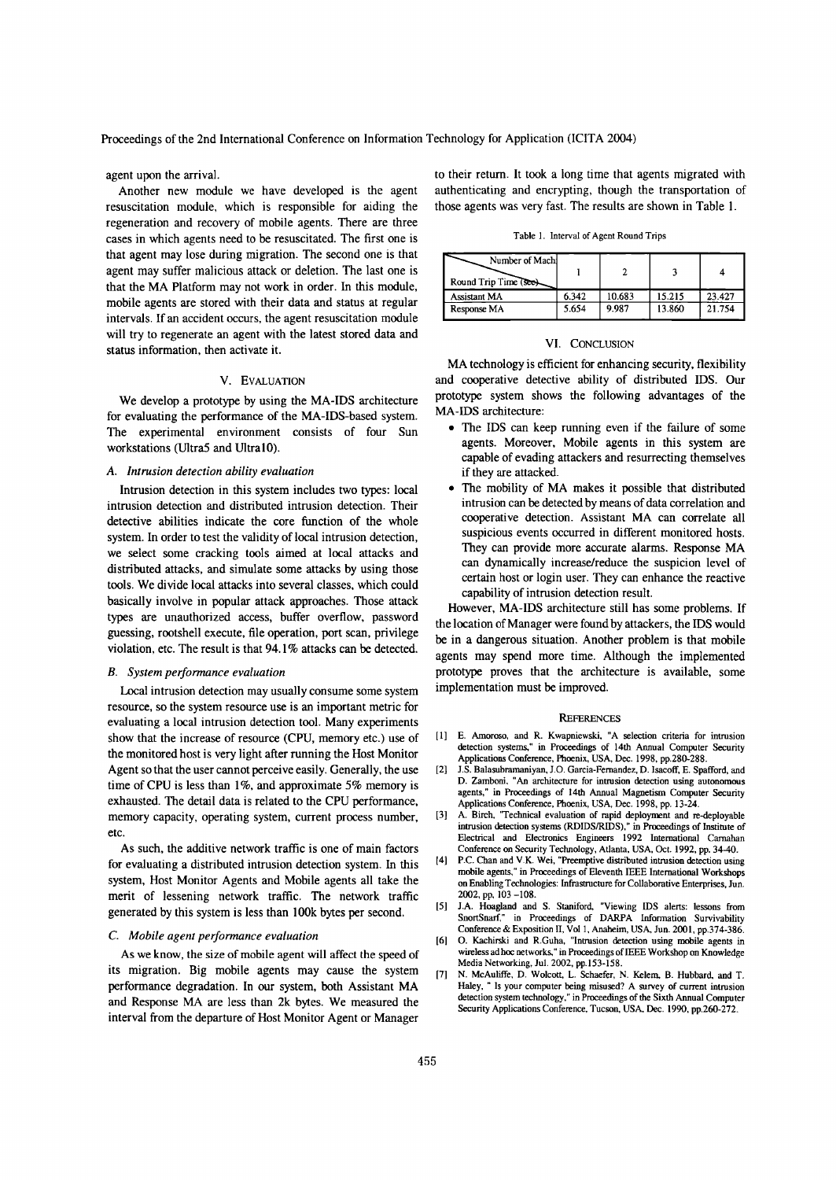Proceedings of the 2nd International Conference on Information Technology for Application (ICITA 2004)

agent upon the arrival.

Another new module we have developed is the agent resuscitation module, which is responsible for aiding the regeneration and recovery of mobile agents. There are three cases in which agents need to be resuscitated. The first one is that agent may lose during migration. The second one is that agent may suffer malicious attack or deletion. The last one is that the MA Platform may not work in order. In this module, mobile agents are stored with their data and status at regular intervals. If an accident occurs, the agent resuscitation module will try to regenerate an agent with the latest stored data and status information, then activate it.

#### V. EVALUATION

We develop a prototype by using the MA-IDS architecture for evaluating the performance of the MA-IDS-based system. The experimental environment consists of four Sun workstations (U1tra5 and U1tralO).

### A. *Intrusion detection ability evaluation*

Intrusion detection in this system includes two types: local intrusion detection and distributed intrusion detection. Their detective abilities indicate the core function of the whole system. In order to test the validity of local intrusion detection, we select some cracking tools aimed at local attacks and distributed attacks, and simulate some attacks by using those tools. We divide local attacks into several classes, which could basically involve in popular attack approaches. Those attack types are unauthorized access, buffer overflow, password guessing, rootshell execute, file operation, port scan, privilege violation, etc. The result is that 94. I % attacks can be detected.

#### *B. System performance evaluation*

Local intrusion detection may usually consume some system resource, so the system resource use is an important metric for evaluating a local intrusion detection tool. Many experiments show that the increase of resource (CPU, memory etc.) use of the monitored host is very light after running the Host Monitor Agent so that the user cannot perceive easily. Generally, the use time of CPU is less than  $1\%$ , and approximate 5% memory is exhausted. The detail data is related to the CPU performance, memory capacity, operating system, current process number, etc.

As such, the additive network traffic is one of main factors for evaluating a distributed intrusion detection system. In this system, Host Monitor Agents and Mobile agents all take the merit of lessening network traffic. The network traffic generated by this system is less than lOOk bytes per second,

### C. *Mobile agent performance evaluation*

As we know, the size of mobile agent will affect the speed of its migration. Big mobile agents may cause the system performance degradation. In our system, both Assistant MA and Response MA are less than 2k bytes. We measured the interval from the departure of Host Monitor Agent or Manager

to their return. It took a long time that agents migrated with authenticating and encrypting, though the transportation of those agents was very fast. The results are shown in Table 1.

Table I. Interval of Agent Round Trips

| Number of Mach<br>Round Trip Time (see) |       |        |        |        |
|-----------------------------------------|-------|--------|--------|--------|
| <b>Assistant MA</b>                     | 6.342 | 10.683 | 15.215 | 23.427 |
| Response MA                             | 5.654 | 9.987  | 13.860 | 21.754 |

### VI. CONCLUSION

MA technology is efficient for enhancing security, flexibility and cooperative detective ability of distributed IDS. Our prototype system shows the following advantages of the MA-IDS architecture:

- The IDS can keep running even if the failure of some agents. Moreover, Mobile agents in this system are capable of evading attackers and resurrecting themselves if they are attacked.
- The mobility of MA makes it possible that distributed intrusion can be detected by means of data correlation and cooperative detection. Assistant MA can correlate all suspicious events occurred in different monitored hosts. They can provide more accurate alarms. Response MA can dynamically increase/reduce the suspicion level of certain host or login user. They can enhance the reactive capability of intrusion detection result.

However, MA-IDS architecture still has some problems. If the location of Manager were found by attackers, the IDS would be in a dangerous situation. Another problem is that mobile agents may spend more time. Although the implemented prototype proves that the architecture is available, some implementation must be improved.

#### **REFERENCES**

- [I] E. Amoroso, and R. Kwapniewski, "A selection criteria for intrusion detection systems," in Proceedings of 14th Annual Computer Security Applications Conference, Phoenix, USA, Dec. 1998, pp.280-288.
- [2) J.S. Balasubramaniyan, J.O. Garcia-Fernandez, D. Isacoff, E. Spafford, and D. Zamboni, "An architecture for intrusion detection using autonomous agents," in Proceedings of 14th Annual Magnetism Computer Security Applications Conference, Phoenix, USA, Dec. 1998, pp. 13-24.
- [3) A. Birch, 'Technical evaluation of rapid deployment and re-deployable intrusion detection systems (RDIDSIRIDS)," in Proceedings of Institute of Electrical and Electronics Engineers 1992 International Carnahan Conference on Security Technology, Atlanta, USA, Oct. 1992, pp. 34-40.
- (4) P.c. Chan and V.K. Wei, "Preemptive distributed intrusion detection using mobile agents," in Proceedings of Eleventh IEEE International Workshops on Enabling Technologies: Infrastructure for Collaborative Enterprises, Jun. 2002, pp, 103 -108.
- [5) J.A. Hoagland and S. Staniford, "Viewing IDS alerts: lessons from SnorrSnarf," in Proceedings of DARPA Information Survivability Conference & Exposition II, Vol 1, Anaheim, USA, Jun. 2001, pp.374-386.
- [6) O. Kachirski and R.Guha, "Intrusion detection using mobile agents in wireless ad hoc networks," in Proceedings of IEEE Workshop on Knowledge Media Networking, Jul. 2002, pp.153-158.
- [7) N. McAuliffe, D. Wolcott, L. Schaefer, N. Kelem, B. Hubbard, and T. Haley, " Is your computer being misused? A survey of current intrusion detection system technology," in Proceedings of the Sixth Annual Computer Security Applications Conference, Tucson, USA, Dec. 1990, pp.26O-272.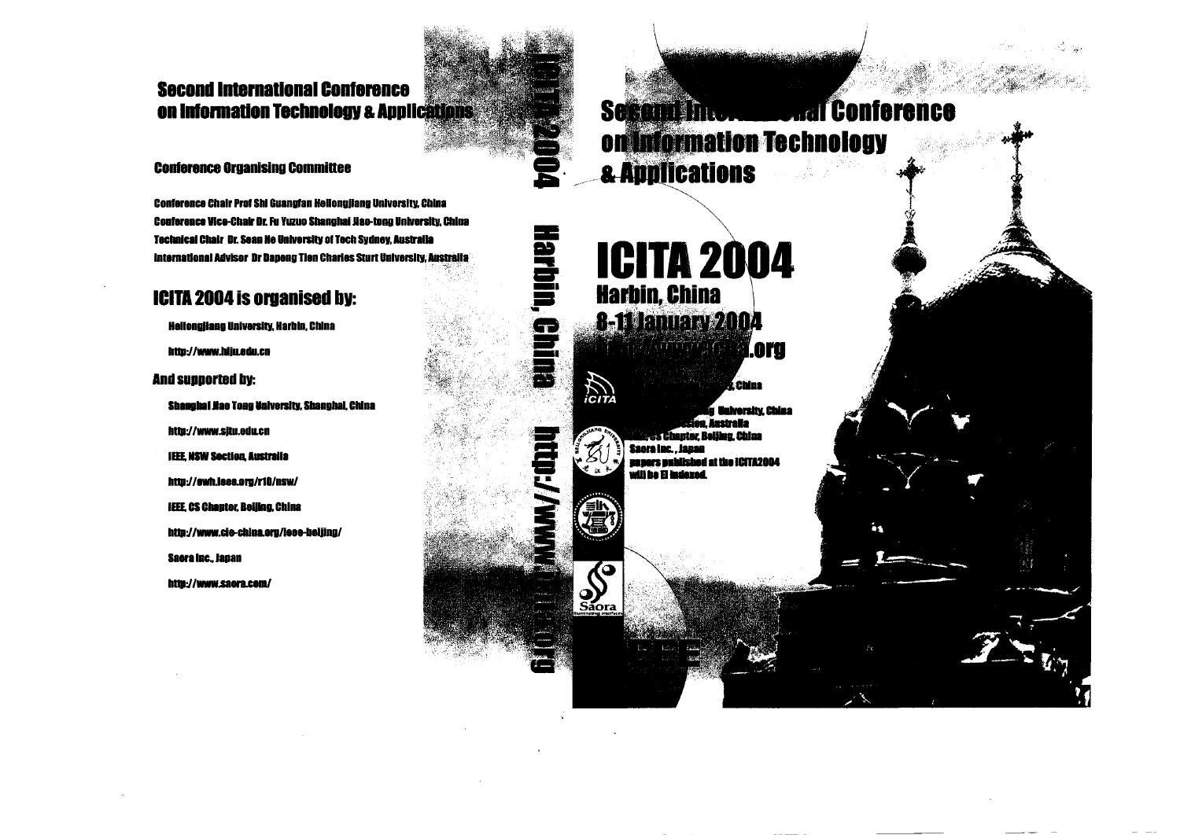## **Second International Conference** on Information Technology & Applications

### **Conference Organising Committee**

Conference Chair Prof Shi Guanufan Hellongjiang University, China Conference Vice-Chair Dr. Fu Yuzuo Shanghai Jiao-tong University. China Technical Chair Dr. Sean He University of Tech Sydney. Australia International Advisor Dr Dapeng Tion Charles Sturt University, Australia '., :,;)!::,,:;

## **1CITA 2004 is organised by:**

Hellongilang University. Harbin. China

http://www.hliu.edu.cn

And supported bl:

Shanghai Jiao Tong University. Shanghai, China http://www.situ.edu.cn

**IEEE. NSW Section. Australia** 

http://ewh.ieee.org/r10/nsw/

IEEE. CS Chauter, Beijing, China

http://www.cie-china.eru/lese-bellinu/

Saera Inc., Japan

http://www.saora.cem/

**Trail Conference** Schand Into. on information Technology **a. Applications** 

....... ,.:':'..;~;;.!l;;il:::;~~~~;!::;.;;~)·\· ~;"'.

# **ICITA 2004 Harbin, China 8-11 January 2004** iil.oru

ہے<br>پھر

**92** 

 $\sum_{i \in I}$ 

 $\int_{\text{Saora}}$ 

**China** luiversity, Chiaa eiralla ina Ahino Saora Inc., Janan **MOGCATION at the Institute average**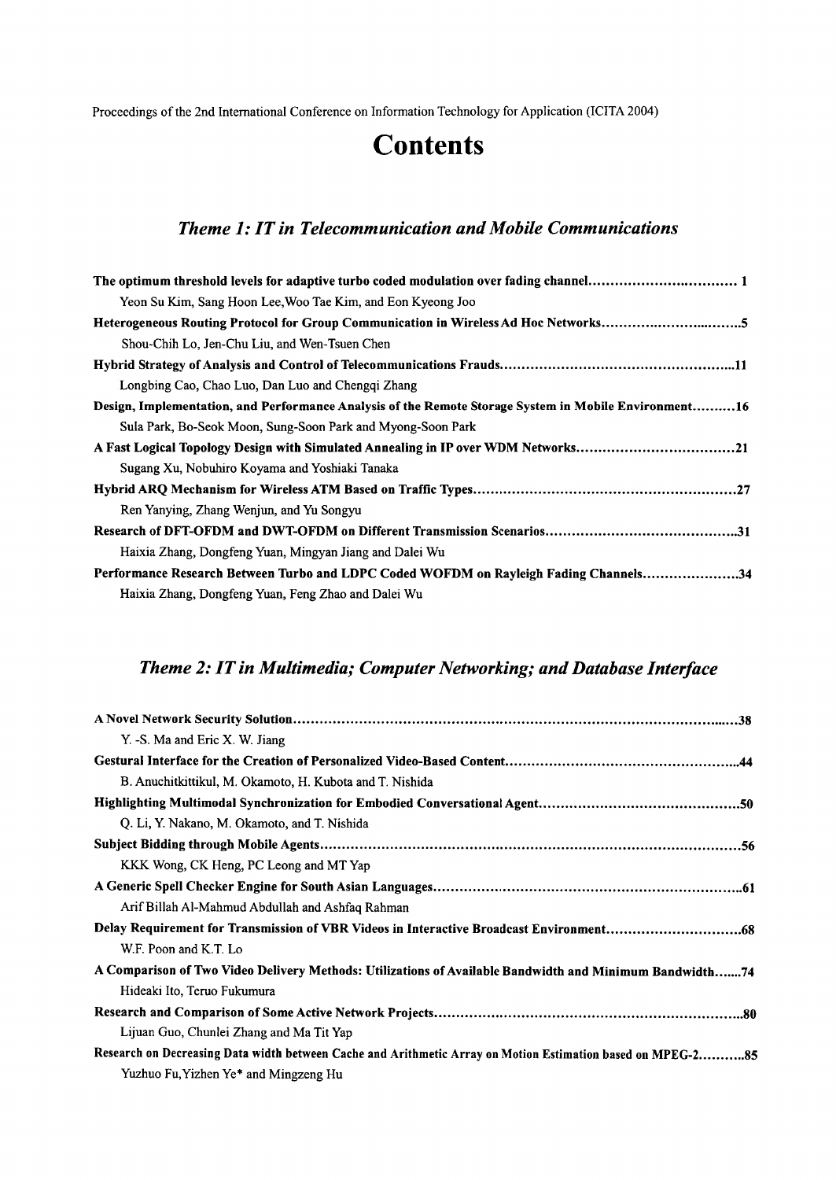Proceedings of the 2nd International Conference on Information Technology for Application (lCITA 2004)

# **Contents**

### *Theme* 1:*IT in Telecommunication and Mobile Communications*

| The optimum threshold levels for adaptive turbo coded modulation over fading channel 1                |
|-------------------------------------------------------------------------------------------------------|
| Yeon Su Kim, Sang Hoon Lee, Woo Tae Kim, and Eon Kyeong Joo                                           |
| Heterogeneous Routing Protocol for Group Communication in Wireless Ad Hoc Networks5                   |
| Shou-Chih Lo, Jen-Chu Liu, and Wen-Tsuen Chen                                                         |
|                                                                                                       |
| Longbing Cao, Chao Luo, Dan Luo and Chenggi Zhang                                                     |
| Design, Implementation, and Performance Analysis of the Remote Storage System in Mobile Environment16 |
| Sula Park, Bo-Seok Moon, Sung-Soon Park and Myong-Soon Park                                           |
| A Fast Logical Topology Design with Simulated Annealing in IP over WDM Networks21                     |
| Sugang Xu, Nobuhiro Koyama and Yoshiaki Tanaka                                                        |
|                                                                                                       |
| Ren Yanying, Zhang Wenjun, and Yu Songyu                                                              |
|                                                                                                       |
| Haixia Zhang, Dongfeng Yuan, Mingyan Jiang and Dalei Wu                                               |
| Performance Research Between Turbo and LDPC Coded WOFDM on Rayleigh Fading Channels34                 |
| Haixia Zhang, Dongfeng Yuan, Feng Zhao and Dalei Wu                                                   |

## *Theme* 2: *IT in Multimedia; Computer Networking; and Database Interface*

| Y. -S. Ma and Eric X. W. Jiang                                                                              |
|-------------------------------------------------------------------------------------------------------------|
|                                                                                                             |
| B. Anuchitkittikul, M. Okamoto, H. Kubota and T. Nishida                                                    |
|                                                                                                             |
| Q. Li, Y. Nakano, M. Okamoto, and T. Nishida                                                                |
|                                                                                                             |
| KKK Wong, CK Heng, PC Leong and MT Yap                                                                      |
|                                                                                                             |
| Arif Billah Al-Mahmud Abdullah and Ashfaq Rahman                                                            |
|                                                                                                             |
| W.F. Poon and K.T. Lo                                                                                       |
| A Comparison of Two Video Delivery Methods: Utilizations of Available Bandwidth and Minimum Bandwidth74     |
| Hideaki Ito, Teruo Fukumura                                                                                 |
|                                                                                                             |
| Lijuan Guo, Chunlei Zhang and Ma Tit Yap                                                                    |
| Research on Decreasing Data width between Cache and Arithmetic Array on Motion Estimation based on MPEG-285 |
| Yuzhuo Fu, Yizhen Ye <sup>*</sup> and Mingzeng Hu                                                           |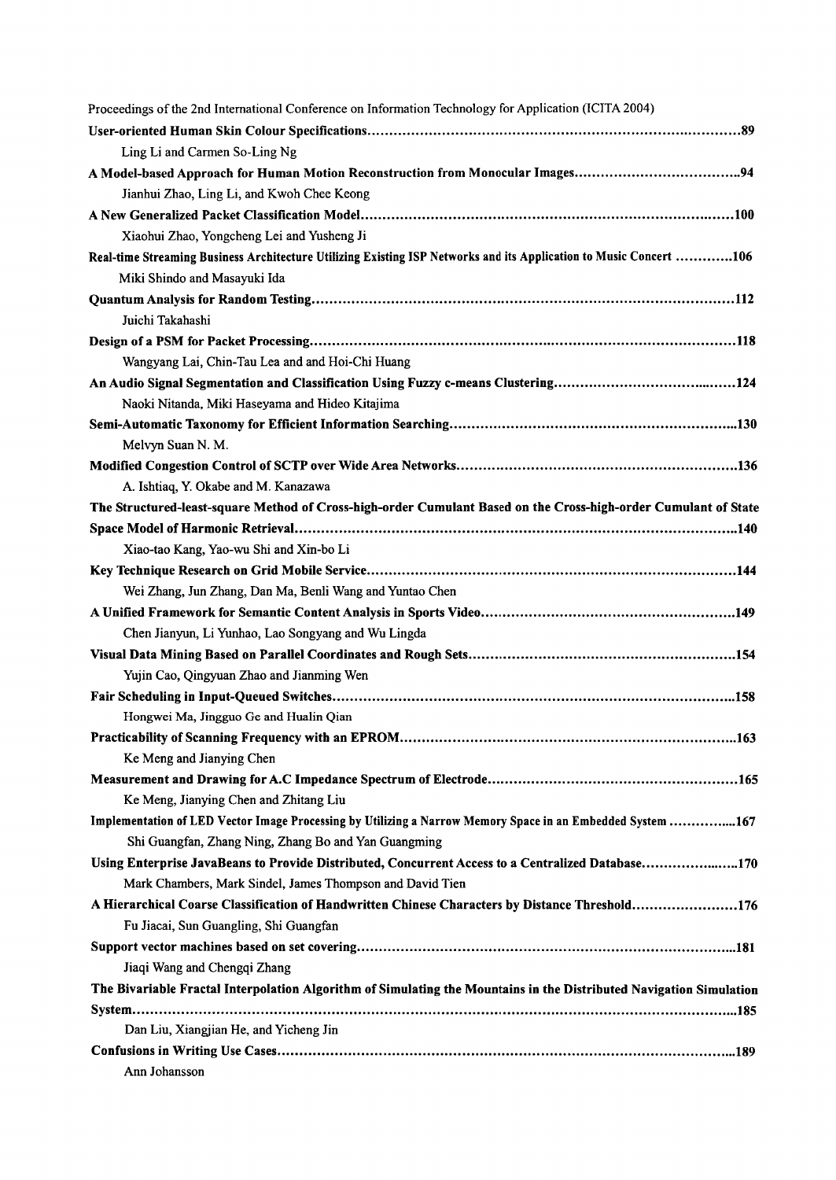| Proceedings of the 2nd International Conference on Information Technology for Application (ICITA 2004)              |  |
|---------------------------------------------------------------------------------------------------------------------|--|
|                                                                                                                     |  |
| Ling Li and Carmen So-Ling Ng                                                                                       |  |
|                                                                                                                     |  |
| Jianhui Zhao, Ling Li, and Kwoh Chee Keong                                                                          |  |
|                                                                                                                     |  |
| Xiaohui Zhao, Yongcheng Lei and Yusheng Ji                                                                          |  |
| Real-time Streaming Business Architecture Utilizing Existing ISP Networks and its Application to Music Concert 106  |  |
| Miki Shindo and Masayuki Ida                                                                                        |  |
|                                                                                                                     |  |
| Juichi Takahashi                                                                                                    |  |
|                                                                                                                     |  |
| Wangyang Lai, Chin-Tau Lea and and Hoi-Chi Huang                                                                    |  |
| An Audio Signal Segmentation and Classification Using Fuzzy c-means Clustering124                                   |  |
| Naoki Nitanda, Miki Haseyama and Hideo Kitajima                                                                     |  |
|                                                                                                                     |  |
| Melvyn Suan N. M.                                                                                                   |  |
|                                                                                                                     |  |
| A. Ishtiaq, Y. Okabe and M. Kanazawa                                                                                |  |
| The Structured-least-square Method of Cross-high-order Cumulant Based on the Cross-high-order Cumulant of State     |  |
|                                                                                                                     |  |
| Xiao-tao Kang, Yao-wu Shi and Xin-bo Li                                                                             |  |
|                                                                                                                     |  |
| Wei Zhang, Jun Zhang, Dan Ma, Benli Wang and Yuntao Chen                                                            |  |
|                                                                                                                     |  |
| Chen Jianyun, Li Yunhao, Lao Songyang and Wu Lingda                                                                 |  |
|                                                                                                                     |  |
| Yujin Cao, Qingyuan Zhao and Jianming Wen                                                                           |  |
|                                                                                                                     |  |
| Hongwei Ma, Jingguo Ge and Hualin Qian                                                                              |  |
|                                                                                                                     |  |
| Ke Meng and Jianying Chen                                                                                           |  |
|                                                                                                                     |  |
| Ke Meng, Jianying Chen and Zhitang Liu                                                                              |  |
| Implementation of LED Vector Image Processing by Utilizing a Narrow Memory Space in an Embedded System 167          |  |
| Shi Guangfan, Zhang Ning, Zhang Bo and Yan Guangming                                                                |  |
| Using Enterprise JavaBeans to Provide Distributed, Concurrent Access to a Centralized Database170                   |  |
| Mark Chambers, Mark Sindel, James Thompson and David Tien                                                           |  |
| A Hierarchical Coarse Classification of Handwritten Chinese Characters by Distance Threshold176                     |  |
| Fu Jiacai, Sun Guangling, Shi Guangfan                                                                              |  |
|                                                                                                                     |  |
| Jiaqi Wang and Chengqi Zhang                                                                                        |  |
| The Bivariable Fractal Interpolation Algorithm of Simulating the Mountains in the Distributed Navigation Simulation |  |
|                                                                                                                     |  |
| Dan Liu, Xiangjian He, and Yicheng Jin                                                                              |  |
|                                                                                                                     |  |
| Ann Johansson                                                                                                       |  |
|                                                                                                                     |  |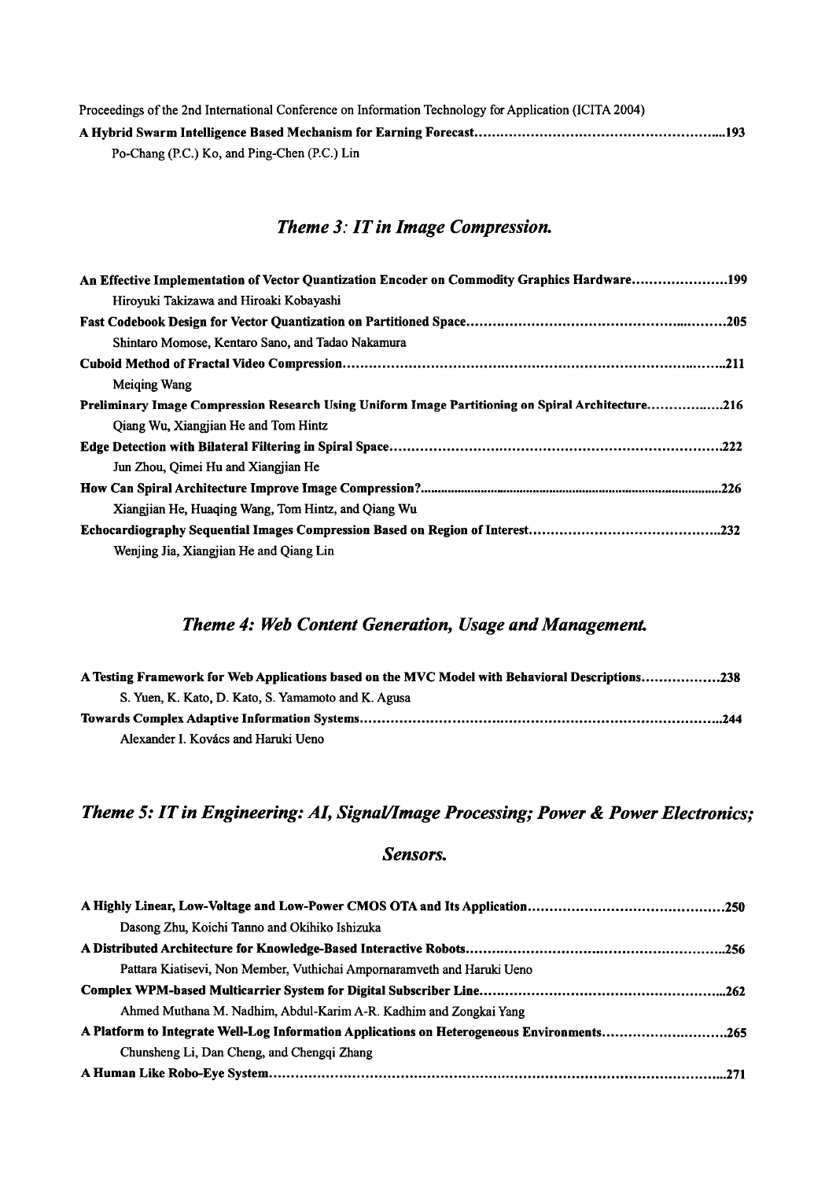| Proceedings of the 2nd International Conference on Information Technology for Application (ICITA 2004) |
|--------------------------------------------------------------------------------------------------------|
|                                                                                                        |
| Po-Chang (P.C.) Ko, and Ping-Chen (P.C.) Lin                                                           |

## *Theme* 3: *IT in Image Compression.*

| An Effective Implementation of Vector Quantization Encoder on Commodity Graphics Hardware199      |
|---------------------------------------------------------------------------------------------------|
| Hiroyuki Takizawa and Hiroaki Kobayashi                                                           |
|                                                                                                   |
| Shintaro Momose, Kentaro Sano, and Tadao Nakamura                                                 |
|                                                                                                   |
| Meiging Wang                                                                                      |
| Preliminary Image Compression Research Using Uniform Image Partitioning on Spiral Architecture216 |
| Qiang Wu, Xiangjian He and Tom Hintz                                                              |
|                                                                                                   |
| Jun Zhou, Oimei Hu and Xiangjian He                                                               |
|                                                                                                   |
| Xiangjian He, Huaging Wang, Tom Hintz, and Qiang Wu                                               |
|                                                                                                   |
| Wenjing Jia, Xiangjian He and Oiang Lin                                                           |

## *Theme* 4: *Web Content Generation, Usage and Management.*

| A Testing Framework for Web Applications based on the MVC Model with Behavioral Descriptions238 |  |
|-------------------------------------------------------------------------------------------------|--|
| S. Yuen, K. Kato, D. Kato, S. Yamamoto and K. Agusa                                             |  |
|                                                                                                 |  |
| Alexander I. Kovács and Haruki Ueno                                                             |  |

# *Theme* 5:*IT in Engineering: AI, Signal/Image Processing; Power* & *Power Electronics;*

### *Sensors.*

| Dasong Zhu, Koichi Tanno and Okihiko Ishizuka                                              |  |
|--------------------------------------------------------------------------------------------|--|
|                                                                                            |  |
| Pattara Kiatisevi, Non Member, Vuthichai Ampornaramveth and Haruki Ueno                    |  |
|                                                                                            |  |
| Ahmed Muthana M. Nadhim, Abdul-Karim A-R. Kadhim and Zongkai Yang                          |  |
| A Platform to Integrate Well-Log Information Applications on Heterogeneous Environments265 |  |
| Chunsheng Li, Dan Cheng, and Chenggi Zhang                                                 |  |
|                                                                                            |  |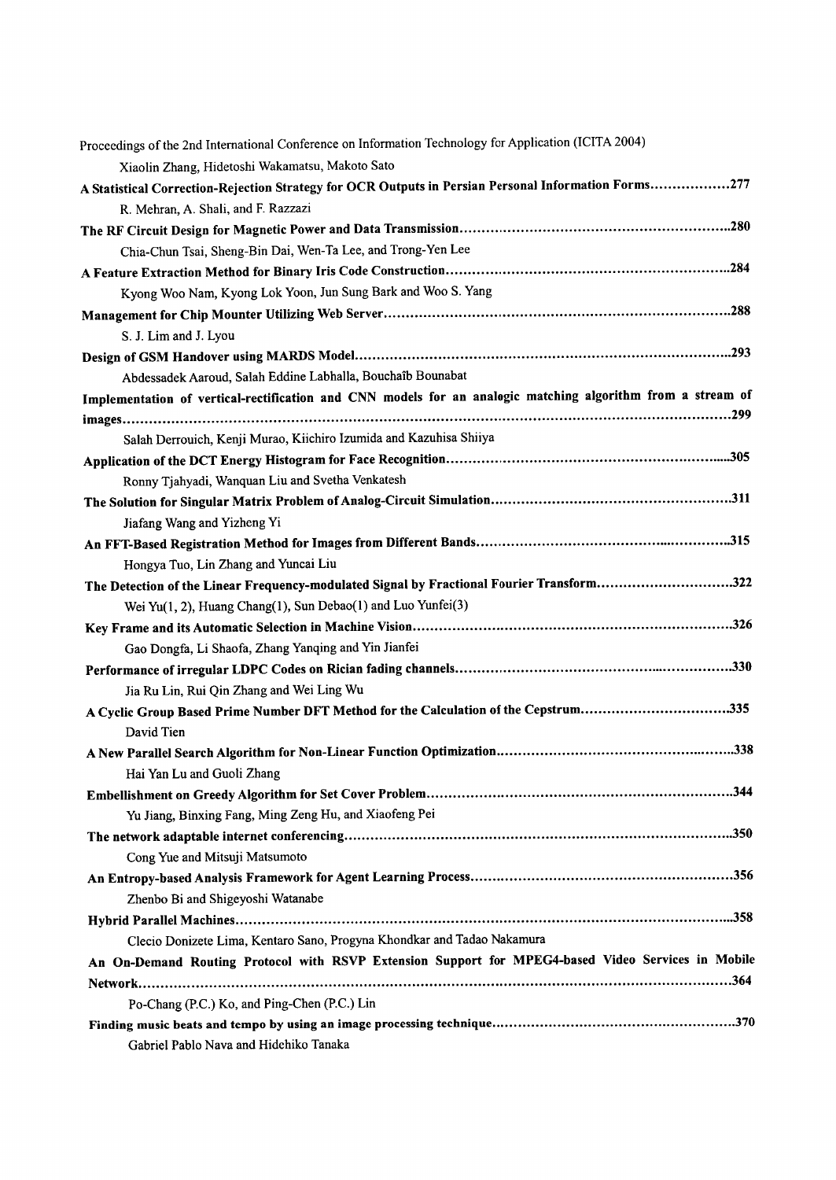| Proceedings of the 2nd International Conference on Information Technology for Application (ICITA 2004)<br>Xiaolin Zhang, Hidetoshi Wakamatsu, Makoto Sato |     |
|-----------------------------------------------------------------------------------------------------------------------------------------------------------|-----|
| A Statistical Correction-Rejection Strategy for OCR Outputs in Persian Personal Information Forms277                                                      |     |
|                                                                                                                                                           |     |
| R. Mehran, A. Shali, and F. Razzazi                                                                                                                       |     |
|                                                                                                                                                           |     |
| Chia-Chun Tsai, Sheng-Bin Dai, Wen-Ta Lee, and Trong-Yen Lee                                                                                              |     |
|                                                                                                                                                           |     |
| Kyong Woo Nam, Kyong Lok Yoon, Jun Sung Bark and Woo S. Yang                                                                                              |     |
|                                                                                                                                                           |     |
| S. J. Lim and J. Lyou                                                                                                                                     |     |
|                                                                                                                                                           |     |
| Abdessadek Aaroud, Salah Eddine Labhalla, Bouchaîb Bounabat                                                                                               |     |
| Implementation of vertical-rectification and CNN models for an analogic matching algorithm from a stream of                                               |     |
|                                                                                                                                                           |     |
| Salah Derrouich, Kenji Murao, Kiichiro Izumida and Kazuhisa Shiiya                                                                                        |     |
|                                                                                                                                                           |     |
| Ronny Tjahyadi, Wanquan Liu and Svetha Venkatesh                                                                                                          |     |
|                                                                                                                                                           |     |
| Jiafang Wang and Yizheng Yi                                                                                                                               |     |
|                                                                                                                                                           |     |
| Hongya Tuo, Lin Zhang and Yuncai Liu                                                                                                                      |     |
| The Detection of the Linear Frequency-modulated Signal by Fractional Fourier Transform322                                                                 |     |
| Wei Yu(1, 2), Huang Chang(1), Sun Debao(1) and Luo Yunfei(3)                                                                                              |     |
|                                                                                                                                                           |     |
| Gao Dongfa, Li Shaofa, Zhang Yanqing and Yin Jianfei                                                                                                      |     |
|                                                                                                                                                           |     |
| Jia Ru Lin, Rui Qin Zhang and Wei Ling Wu                                                                                                                 |     |
| A Cyclic Group Based Prime Number DFT Method for the Calculation of the Cepstrum335                                                                       |     |
| David Tien                                                                                                                                                |     |
| A New Parallel Search Algorithm for Non-Linear Function Optimization                                                                                      | 338 |
| Hai Yan Lu and Guoli Zhang                                                                                                                                |     |
|                                                                                                                                                           |     |
| Yu Jiang, Binxing Fang, Ming Zeng Hu, and Xiaofeng Pei                                                                                                    |     |
|                                                                                                                                                           |     |
| Cong Yue and Mitsuji Matsumoto                                                                                                                            |     |
|                                                                                                                                                           |     |
| Zhenbo Bi and Shigeyoshi Watanabe                                                                                                                         |     |
|                                                                                                                                                           |     |
| Clecio Donizete Lima, Kentaro Sano, Progyna Khondkar and Tadao Nakamura                                                                                   |     |
| An On-Demand Routing Protocol with RSVP Extension Support for MPEG4-based Video Services in Mobile                                                        |     |
|                                                                                                                                                           |     |
| Po-Chang (P.C.) Ko, and Ping-Chen (P.C.) Lin                                                                                                              |     |
|                                                                                                                                                           |     |
| Gabriel Pablo Nava and Hidehiko Tanaka                                                                                                                    |     |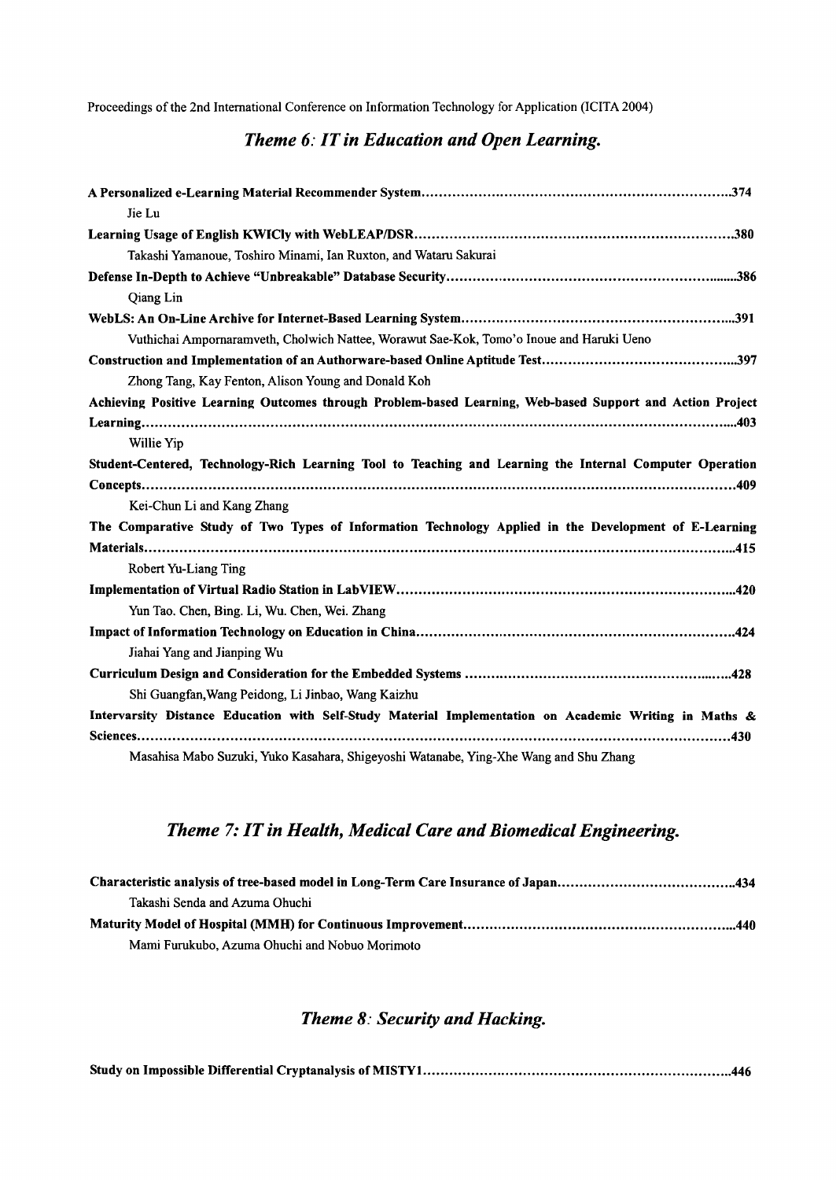Proceedings of the 2nd International Conference on Information Technology for Application (lCITA 2004)

### *Theme* 6: *IT in Education and Open Learning.*

| Jie Lu                                                                                                    |
|-----------------------------------------------------------------------------------------------------------|
|                                                                                                           |
| Takashi Yamanoue, Toshiro Minami, Ian Ruxton, and Wataru Sakurai                                          |
|                                                                                                           |
| Qiang Lin                                                                                                 |
|                                                                                                           |
| Vuthichai Ampornaramveth, Cholwich Nattee, Worawut Sae-Kok, Tomo'o Inoue and Haruki Ueno                  |
|                                                                                                           |
| Zhong Tang, Kay Fenton, Alison Young and Donald Koh                                                       |
| Achieving Positive Learning Outcomes through Problem-based Learning, Web-based Support and Action Project |
|                                                                                                           |
| Willie Yip                                                                                                |
| Student-Centered, Technology-Rich Learning Tool to Teaching and Learning the Internal Computer Operation  |
|                                                                                                           |
| Kei-Chun Li and Kang Zhang                                                                                |
| The Comparative Study of Two Types of Information Technology Applied in the Development of E-Learning     |
|                                                                                                           |
| Robert Yu-Liang Ting                                                                                      |
|                                                                                                           |
| Yun Tao. Chen, Bing. Li, Wu. Chen, Wei. Zhang                                                             |
|                                                                                                           |
| Jiahai Yang and Jianping Wu                                                                               |
|                                                                                                           |
| Shi Guangfan, Wang Peidong, Li Jinbao, Wang Kaizhu                                                        |
| Intervarsity Distance Education with Self-Study Material Implementation on Academic Writing in Maths &    |
|                                                                                                           |
| Masahisa Mabo Suzuki, Yuko Kasahara, Shigeyoshi Watanabe, Ying-Xhe Wang and Shu Zhang                     |

## *Theme* 7:*IT in Health, Medical Care and Biomedical Engineering.*

| Takashi Senda and Azuma Ohuchi                 |  |
|------------------------------------------------|--|
|                                                |  |
| Mami Furukubo, Azuma Ohuchi and Nobuo Morimoto |  |

## *Theme* 8: *Security and Hacking.*